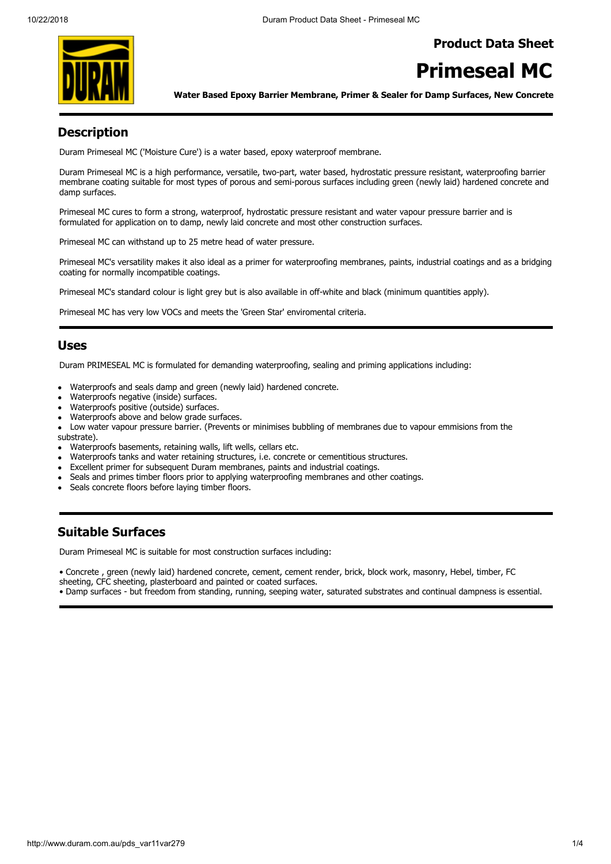### **Product Data Sheet**



# **Primeseal MC**

**Water Based Epoxy Barrier Membrane, Primer & Sealer for Damp Surfaces, New Concrete**

# **Description**

Duram Primeseal MC ('Moisture Cure') is a water based, epoxy waterproof membrane.

Duram Primeseal MC is a high performance, versatile, two-part, water based, hydrostatic pressure resistant, waterproofing barrier membrane coating suitable for most types of porous and semi-porous surfaces including green (newly laid) hardened concrete and damp surfaces.

Primeseal MC cures to form a strong, waterproof, hydrostatic pressure resistant and water vapour pressure barrier and is formulated for application on to damp, newly laid concrete and most other construction surfaces.

Primeseal MC can withstand up to 25 metre head of water pressure.

Primeseal MC's versatility makes it also ideal as a primer for waterproofing membranes, paints, industrial coatings and as a bridging coating for normally incompatible coatings.

Primeseal MC's standard colour is light grey but is also available in off-white and black (minimum quantities apply).

Primeseal MC has very low VOCs and meets the 'Green Star' enviromental criteria.

#### **Uses**

Duram PRIMESEAL MC is formulated for demanding waterproofing, sealing and priming applications including:

- Waterproofs and seals damp and green (newly laid) hardened concrete.
- Waterproofs negative (inside) surfaces.
- Waterproofs positive (outside) surfaces.
- Waterproofs above and below grade surfaces.
- Low water vapour pressure barrier. (Prevents or minimises bubbling of membranes due to vapour emmisions from the
- substrate).
- Waterproofs basements, retaining walls, lift wells, cellars etc.
- Waterproofs tanks and water retaining structures, i.e. concrete or cementitious structures.
- Excellent primer for subsequent Duram membranes, paints and industrial coatings.
- Seals and primes timber floors prior to applying waterproofing membranes and other coatings.
- Seals concrete floors before laying timber floors.

## **Suitable Surfaces**

Duram Primeseal MC is suitable for most construction surfaces including:

• Concrete , green (newly laid) hardened concrete, cement, cement render, brick, block work, masonry, Hebel, timber, FC sheeting, CFC sheeting, plasterboard and painted or coated surfaces.

• Damp surfaces - but freedom from standing, running, seeping water, saturated substrates and continual dampness is essential.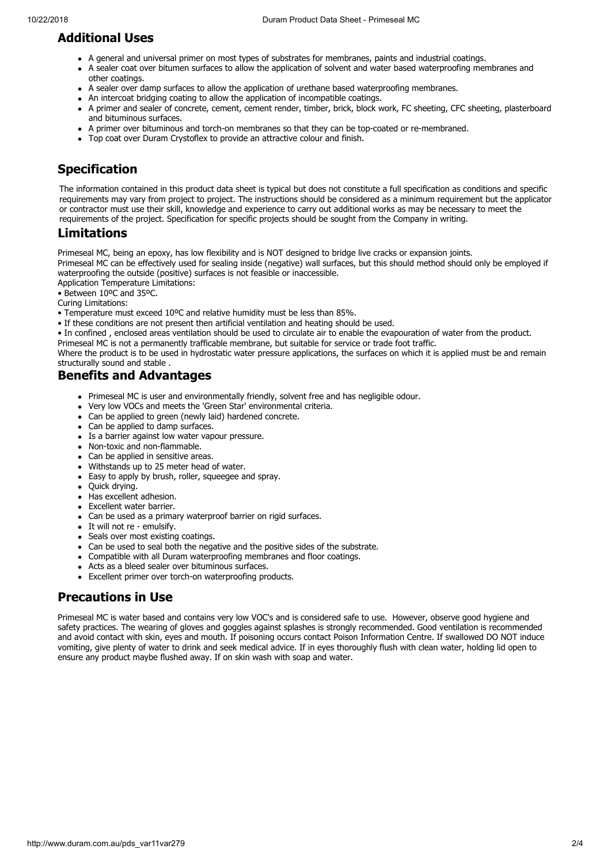# **Additional Uses**

- A general and universal primer on most types of substrates for membranes, paints and industrial coatings.
- A sealer coat over bitumen surfaces to allow the application of solvent and water based waterproofing membranes and other coatings.
- A sealer over damp surfaces to allow the application of urethane based waterproofing membranes.
- An intercoat bridging coating to allow the application of incompatible coatings.
- A primer and sealer of concrete, cement, cement render, timber, brick, block work, FC sheeting, CFC sheeting, plasterboard and bituminous surfaces.
- A primer over bituminous and torch-on membranes so that they can be top-coated or re-membraned.
- Top coat over Duram Crystoflex to provide an attractive colour and finish.

# **Specification**

The information contained in this product data sheet is typical but does not constitute a full specification as conditions and specific requirements may vary from project to project. The instructions should be considered as a minimum requirement but the applicator or contractor must use their skill, knowledge and experience to carry out additional works as may be necessary to meet the requirements of the project. Specification for specific projects should be sought from the Company in writing.

### **Limitations**

Primeseal MC, being an epoxy, has low flexibility and is NOT designed to bridge live cracks or expansion joints. Primeseal MC can be effectively used for sealing inside (negative) wall surfaces, but this should method should only be employed if waterproofing the outside (positive) surfaces is not feasible or inaccessible.

Application Temperature Limitations:

- Between 10ºC and 35ºC.
- Curing Limitations:
- Temperature must exceed 10ºC and relative humidity must be less than 85%.
- If these conditions are not present then artificial ventilation and heating should be used.

• In confined , enclosed areas ventilation should be used to circulate air to enable the evapouration of water from the product.

Primeseal MC is not a permanently trafficable membrane, but suitable for service or trade foot traffic.

Where the product is to be used in hydrostatic water pressure applications, the surfaces on which it is applied must be and remain structurally sound and stable .

### **Benefits and Advantages**

- Primeseal MC is user and environmentally friendly, solvent free and has negligible odour.
- Very low VOCs and meets the 'Green Star' environmental criteria.
- Can be applied to green (newly laid) hardened concrete.
- Can be applied to damp surfaces.
- Is a barrier against low water vapour pressure.
- Non-toxic and non-flammable.
- Can be applied in sensitive areas.  $\bullet$
- Withstands up to 25 meter head of water.
- Easy to apply by brush, roller, squeegee and spray.  $\bullet$
- Quick drying.
- Has excellent adhesion.
- Excellent water barrier.
- Can be used as a primary waterproof barrier on rigid surfaces.
- It will not re emulsify.
- Seals over most existing coatings.  $\bullet$
- Can be used to seal both the negative and the positive sides of the substrate.
- Compatible with all Duram waterproofing membranes and floor coatings.
- Acts as a bleed sealer over bituminous surfaces.
- Excellent primer over torch-on waterproofing products.

# **Precautions in Use**

Primeseal MC is water based and contains very low VOC's and is considered safe to use. However, observe good hygiene and safety practices. The wearing of gloves and goggles against splashes is strongly recommended. Good ventilation is recommended and avoid contact with skin, eyes and mouth. If poisoning occurs contact Poison Information Centre. If swallowed DO NOT induce vomiting, give plenty of water to drink and seek medical advice. If in eyes thoroughly flush with clean water, holding lid open to ensure any product maybe flushed away. If on skin wash with soap and water.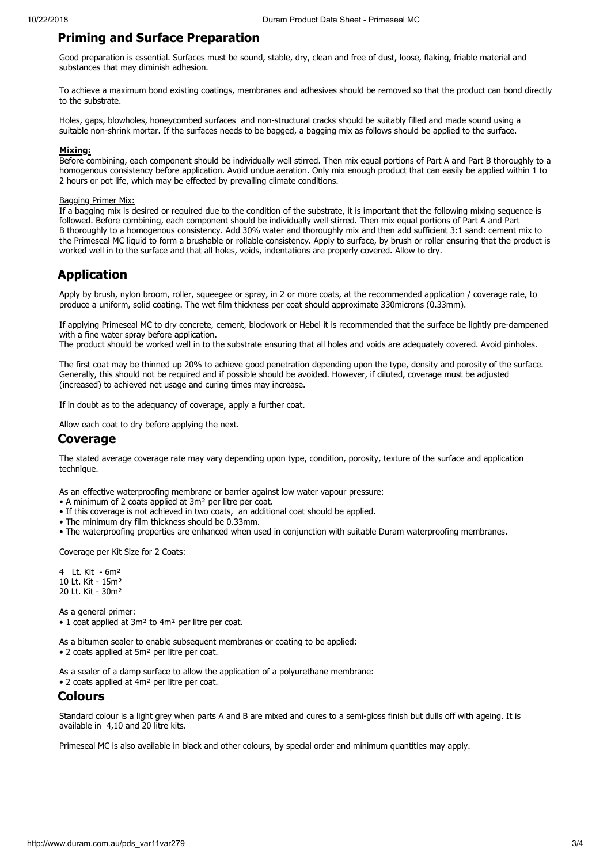### **Priming and Surface Preparation**

Good preparation is essential. Surfaces must be sound, stable, dry, clean and free of dust, loose, flaking, friable material and substances that may diminish adhesion.

To achieve a maximum bond existing coatings, membranes and adhesives should be removed so that the product can bond directly to the substrate.

Holes, gaps, blowholes, honeycombed surfaces and non-structural cracks should be suitably filled and made sound using a suitable non-shrink mortar. If the surfaces needs to be bagged, a bagging mix as follows should be applied to the surface.

#### **Mixing:**

Before combining, each component should be individually well stirred. Then mix equal portions of Part A and Part B thoroughly to a homogenous consistency before application. Avoid undue aeration. Only mix enough product that can easily be applied within 1 to 2 hours or pot life, which may be effected by prevailing climate conditions.

#### **Bagging Primer Mix:**

If a bagging mix is desired or required due to the condition of the substrate, it is important that the following mixing sequence is followed. Before combining, each component should be individually well stirred. Then mix equal portions of Part A and Part B thoroughly to a homogenous consistency. Add 30% water and thoroughly mix and then add sufficient 3:1 sand: cement mix to the Primeseal MC liquid to form a brushable or rollable consistency. Apply to surface, by brush or roller ensuring that the product is worked well in to the surface and that all holes, voids, indentations are properly covered. Allow to dry.

### **Application**

Apply by brush, nylon broom, roller, squeegee or spray, in 2 or more coats, at the recommended application / coverage rate, to produce a uniform, solid coating. The wet film thickness per coat should approximate 330microns (0.33mm).

If applying Primeseal MC to dry concrete, cement, blockwork or Hebel it is recommended that the surface be lightly pre-dampened with a fine water spray before application.

The product should be worked well in to the substrate ensuring that all holes and voids are adequately covered. Avoid pinholes.

The first coat may be thinned up 20% to achieve good penetration depending upon the type, density and porosity of the surface. Generally, this should not be required and if possible should be avoided. However, if diluted, coverage must be adjusted (increased) to achieved net usage and curing times may increase.

If in doubt as to the adequancy of coverage, apply a further coat.

Allow each coat to dry before applying the next.

#### **Coverage**

The stated average coverage rate may vary depending upon type, condition, porosity, texture of the surface and application technique.

As an effective waterproofing membrane or barrier against low water vapour pressure:

- A minimum of 2 coats applied at 3m² per litre per coat.
- If this coverage is not achieved in two coats, an additional coat should be applied.
- The minimum dry film thickness should be 0.33mm.
- The waterproofing properties are enhanced when used in conjunction with suitable Duram waterproofing membranes.

Coverage per Kit Size for 2 Coats:

4 Lt. Kit - 6m² 10 Lt. Kit - 15m² 20 Lt. Kit - 30m²

As a general primer: • 1 coat applied at 3m<sup>2</sup> to 4m<sup>2</sup> per litre per coat.

As a bitumen sealer to enable subsequent membranes or coating to be applied:

• 2 coats applied at 5m² per litre per coat.

As a sealer of a damp surface to allow the application of a polyurethane membrane: • 2 coats applied at 4m² per litre per coat.

#### **Colours**

Standard colour is a light grey when parts A and B are mixed and cures to a semi-gloss finish but dulls off with ageing. It is available in 4,10 and 20 litre kits.

Primeseal MC is also available in black and other colours, by special order and minimum quantities may apply.